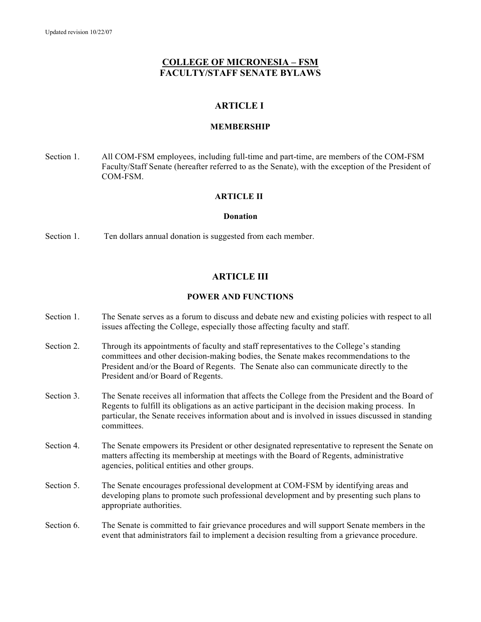# **COLLEGE OF MICRONESIA – FSM FACULTY/STAFF SENATE BYLAWS**

# **ARTICLE I**

### **MEMBERSHIP**

Section 1. All COM-FSM employees, including full-time and part-time, are members of the COM-FSM Faculty/Staff Senate (hereafter referred to as the Senate), with the exception of the President of COM-FSM.

## **ARTICLE II**

### **Donation**

Section 1. Ten dollars annual donation is suggested from each member.

# **ARTICLE III**

### **POWER AND FUNCTIONS**

- Section 1. The Senate serves as a forum to discuss and debate new and existing policies with respect to all issues affecting the College, especially those affecting faculty and staff.
- Section 2. Through its appointments of faculty and staff representatives to the College's standing committees and other decision-making bodies, the Senate makes recommendations to the President and/or the Board of Regents. The Senate also can communicate directly to the President and/or Board of Regents.
- Section 3. The Senate receives all information that affects the College from the President and the Board of Regents to fulfill its obligations as an active participant in the decision making process. In particular, the Senate receives information about and is involved in issues discussed in standing committees.
- Section 4. The Senate empowers its President or other designated representative to represent the Senate on matters affecting its membership at meetings with the Board of Regents, administrative agencies, political entities and other groups.
- Section 5. The Senate encourages professional development at COM-FSM by identifying areas and developing plans to promote such professional development and by presenting such plans to appropriate authorities.

Section 6. The Senate is committed to fair grievance procedures and will support Senate members in the event that administrators fail to implement a decision resulting from a grievance procedure.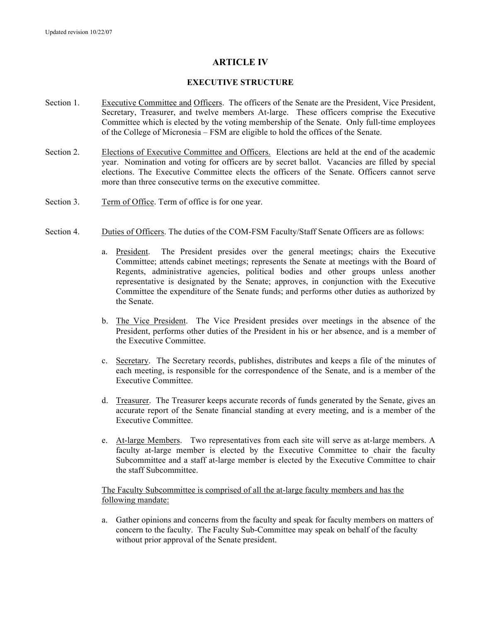# **ARTICLE IV**

### **EXECUTIVE STRUCTURE**

- Section 1. Executive Committee and Officers. The officers of the Senate are the President, Vice President, Secretary, Treasurer, and twelve members At-large. These officers comprise the Executive Committee which is elected by the voting membership of the Senate. Only full-time employees of the College of Micronesia – FSM are eligible to hold the offices of the Senate.
- Section 2. Elections of Executive Committee and Officers. Elections are held at the end of the academic year. Nomination and voting for officers are by secret ballot. Vacancies are filled by special elections. The Executive Committee elects the officers of the Senate. Officers cannot serve more than three consecutive terms on the executive committee.
- Section 3. Term of Office. Term of office is for one year.
- Section 4. Duties of Officers. The duties of the COM-FSM Faculty/Staff Senate Officers are as follows:
	- a. President. The President presides over the general meetings; chairs the Executive Committee; attends cabinet meetings; represents the Senate at meetings with the Board of Regents, administrative agencies, political bodies and other groups unless another representative is designated by the Senate; approves, in conjunction with the Executive Committee the expenditure of the Senate funds; and performs other duties as authorized by the Senate.
	- b. The Vice President. The Vice President presides over meetings in the absence of the President, performs other duties of the President in his or her absence, and is a member of the Executive Committee.
	- c. Secretary. The Secretary records, publishes, distributes and keeps a file of the minutes of each meeting, is responsible for the correspondence of the Senate, and is a member of the Executive Committee.
	- d. Treasurer. The Treasurer keeps accurate records of funds generated by the Senate, gives an accurate report of the Senate financial standing at every meeting, and is a member of the Executive Committee.
	- e. At-large Members. Two representatives from each site will serve as at-large members. A faculty at-large member is elected by the Executive Committee to chair the faculty Subcommittee and a staff at-large member is elected by the Executive Committee to chair the staff Subcommittee.

## The Faculty Subcommittee is comprised of all the at-large faculty members and has the following mandate:

a. Gather opinions and concerns from the faculty and speak for faculty members on matters of concern to the faculty. The Faculty Sub-Committee may speak on behalf of the faculty without prior approval of the Senate president.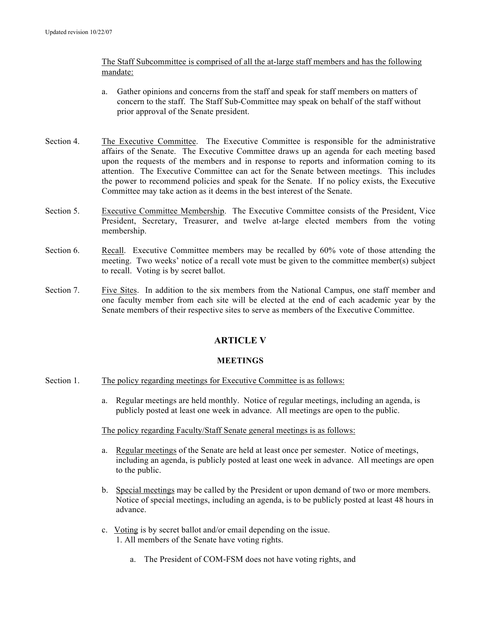## The Staff Subcommittee is comprised of all the at-large staff members and has the following mandate:

- a. Gather opinions and concerns from the staff and speak for staff members on matters of concern to the staff. The Staff Sub-Committee may speak on behalf of the staff without prior approval of the Senate president.
- Section 4. The Executive Committee. The Executive Committee is responsible for the administrative affairs of the Senate. The Executive Committee draws up an agenda for each meeting based upon the requests of the members and in response to reports and information coming to its attention. The Executive Committee can act for the Senate between meetings. This includes the power to recommend policies and speak for the Senate. If no policy exists, the Executive Committee may take action as it deems in the best interest of the Senate.
- Section 5. Executive Committee Membership. The Executive Committee consists of the President, Vice President, Secretary, Treasurer, and twelve at-large elected members from the voting membership.
- Section 6. Recall. Executive Committee members may be recalled by 60% vote of those attending the meeting. Two weeks' notice of a recall vote must be given to the committee member(s) subject to recall. Voting is by secret ballot.
- Section 7. Five Sites. In addition to the six members from the National Campus, one staff member and one faculty member from each site will be elected at the end of each academic year by the Senate members of their respective sites to serve as members of the Executive Committee.

# **ARTICLE V**

## **MEETINGS**

- Section 1. The policy regarding meetings for Executive Committee is as follows:
	- a. Regular meetings are held monthly. Notice of regular meetings, including an agenda, is publicly posted at least one week in advance. All meetings are open to the public.

## The policy regarding Faculty/Staff Senate general meetings is as follows:

- a. Regular meetings of the Senate are held at least once per semester. Notice of meetings, including an agenda, is publicly posted at least one week in advance. All meetings are open to the public.
- b. Special meetings may be called by the President or upon demand of two or more members. Notice of special meetings, including an agenda, is to be publicly posted at least 48 hours in advance.
- c. Voting is by secret ballot and/or email depending on the issue. 1. All members of the Senate have voting rights.
	- a. The President of COM-FSM does not have voting rights, and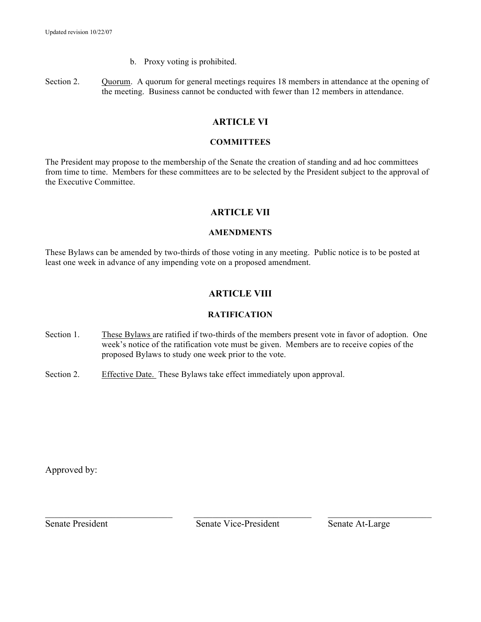- b. Proxy voting is prohibited.
- Section 2. Quorum. A quorum for general meetings requires 18 members in attendance at the opening of the meeting. Business cannot be conducted with fewer than 12 members in attendance.

# **ARTICLE VI**

## **COMMITTEES**

The President may propose to the membership of the Senate the creation of standing and ad hoc committees from time to time. Members for these committees are to be selected by the President subject to the approval of the Executive Committee.

# **ARTICLE VII**

# **AMENDMENTS**

These Bylaws can be amended by two-thirds of those voting in any meeting. Public notice is to be posted at least one week in advance of any impending vote on a proposed amendment.

# **ARTICLE VIII**

# **RATIFICATION**

- Section 1. These Bylaws are ratified if two-thirds of the members present vote in favor of adoption. One week's notice of the ratification vote must be given. Members are to receive copies of the proposed Bylaws to study one week prior to the vote.
- Section 2. Effective Date. These Bylaws take effect immediately upon approval.

Approved by:

 $\_$  , and the contribution of the contribution of  $\_$  . The contribution of  $\_$  ,  $\_$  ,  $\_$  ,  $\_$  ,  $\_$  ,  $\_$  ,  $\_$  ,  $\_$  ,  $\_$  ,  $\_$  ,  $\_$  ,  $\_$  ,  $\_$  ,  $\_$  ,  $\_$  ,  $\_$  ,  $\_$  ,  $\_$  ,  $\_$  ,  $\_$  ,  $\_$  ,  $\_$  ,  $\_$  ,  $\_$  , Senate President Senate Vice-President Senate At-Large